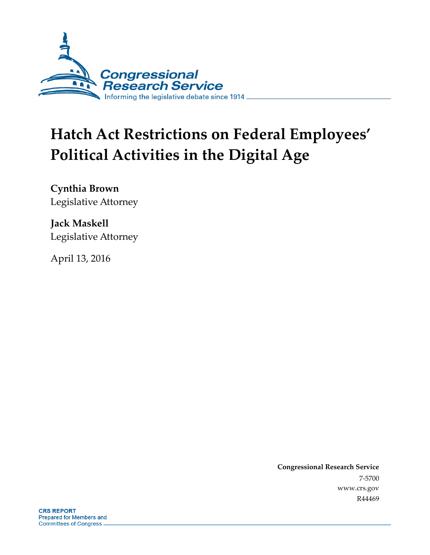

# **Hatch Act Restrictions on Federal Employees' Political Activities in the Digital Age**

**Cynthia Brown** Legislative Attorney

**Jack Maskell** Legislative Attorney

April 13, 2016

**Congressional Research Service** 7-5700 www.crs.gov R44469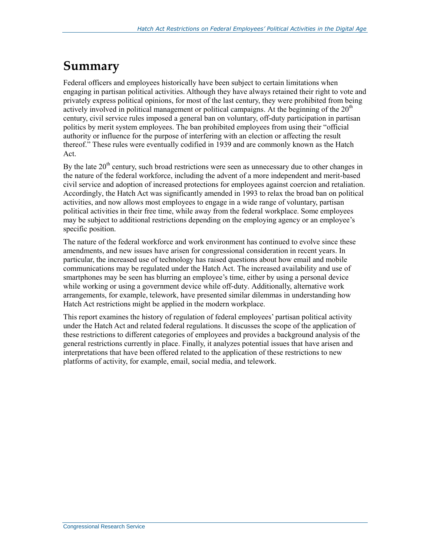## **Summary**

Federal officers and employees historically have been subject to certain limitations when engaging in partisan political activities. Although they have always retained their right to vote and privately express political opinions, for most of the last century, they were prohibited from being actively involved in political management or political campaigns. At the beginning of the  $20<sup>th</sup>$ century, civil service rules imposed a general ban on voluntary, off-duty participation in partisan politics by merit system employees. The ban prohibited employees from using their "official authority or influence for the purpose of interfering with an election or affecting the result thereof." These rules were eventually codified in 1939 and are commonly known as the Hatch Act.

By the late  $20<sup>th</sup>$  century, such broad restrictions were seen as unnecessary due to other changes in the nature of the federal workforce, including the advent of a more independent and merit-based civil service and adoption of increased protections for employees against coercion and retaliation. Accordingly, the Hatch Act was significantly amended in 1993 to relax the broad ban on political activities, and now allows most employees to engage in a wide range of voluntary, partisan political activities in their free time, while away from the federal workplace. Some employees may be subject to additional restrictions depending on the employing agency or an employee's specific position.

The nature of the federal workforce and work environment has continued to evolve since these amendments, and new issues have arisen for congressional consideration in recent years. In particular, the increased use of technology has raised questions about how email and mobile communications may be regulated under the Hatch Act. The increased availability and use of smartphones may be seen has blurring an employee's time, either by using a personal device while working or using a government device while off-duty. Additionally, alternative work arrangements, for example, telework, have presented similar dilemmas in understanding how Hatch Act restrictions might be applied in the modern workplace.

This report examines the history of regulation of federal employees' partisan political activity under the Hatch Act and related federal regulations. It discusses the scope of the application of these restrictions to different categories of employees and provides a background analysis of the general restrictions currently in place. Finally, it analyzes potential issues that have arisen and interpretations that have been offered related to the application of these restrictions to new platforms of activity, for example, email, social media, and telework.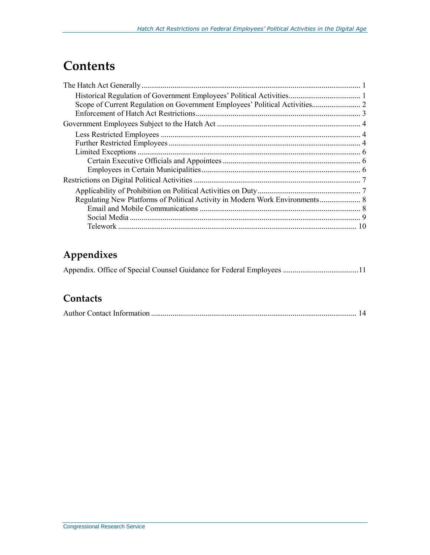## **Contents**

| Regulating New Platforms of Political Activity in Modern Work Environments 8 |  |
|------------------------------------------------------------------------------|--|
|                                                                              |  |
|                                                                              |  |
|                                                                              |  |

## **Appendixes**

## **Contacts**

|--|--|--|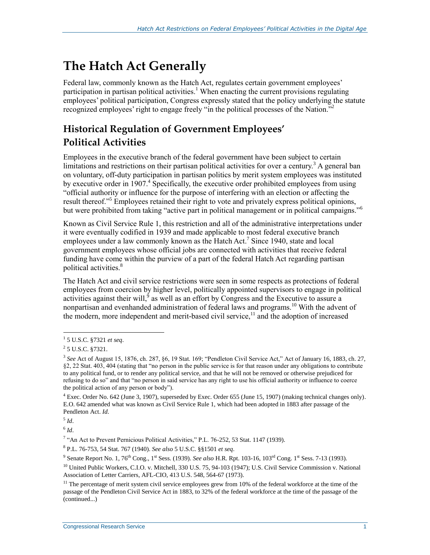## **The Hatch Act Generally**

Federal law, commonly known as the Hatch Act, regulates certain government employees' participation in partisan political activities.<sup>1</sup> When enacting the current provisions regulating employees' political participation, Congress expressly stated that the policy underlying the statute recognized employees' right to engage freely "in the political processes of the Nation."<sup>2</sup>

## **Historical Regulation of Government Employees' Political Activities**

Employees in the executive branch of the federal government have been subject to certain limitations and restrictions on their partisan political activities for over a century.<sup>3</sup> A general ban on voluntary, off-duty participation in partisan politics by merit system employees was instituted by executive order in 1907.<sup>4</sup> Specifically, the executive order prohibited employees from using "official authority or influence for the purpose of interfering with an election or affecting the result thereof."<sup>5</sup> Employees retained their right to vote and privately express political opinions, but were prohibited from taking "active part in political management or in political campaigns."<sup>6</sup>

Known as Civil Service Rule 1, this restriction and all of the administrative interpretations under it were eventually codified in 1939 and made applicable to most federal executive branch employees under a law commonly known as the Hatch Act.<sup>7</sup> Since 1940, state and local government employees whose official jobs are connected with activities that receive federal funding have come within the purview of a part of the federal Hatch Act regarding partisan political activities.<sup>8</sup>

The Hatch Act and civil service restrictions were seen in some respects as protections of federal employees from coercion by higher level, politically appointed supervisors to engage in political activities against their will,  $\frac{3}{2}$  as well as an effort by Congress and the Executive to assure a nonpartisan and evenhanded administration of federal laws and programs.<sup>10</sup> With the advent of the modern, more independent and merit-based civil service, $11$  and the adoption of increased

 $\overline{a}$ 

6 *Id*.

<sup>7</sup> "An Act to Prevent Pernicious Political Activities," P.L. 76-252, 53 Stat. 1147 (1939).

8 P.L. 76-753, 54 Stat. 767 (1940). *See also* 5 U.S.C. §§1501 *et seq*.

<sup>9</sup> Senate Report No. 1, 76<sup>th</sup> Cong., 1<sup>st</sup> Sess. (1939). *See also* H.R. Rpt. 103-16, 103<sup>rd</sup> Cong. 1<sup>st</sup> Sess. 7-13 (1993).

<sup>10</sup> United Public Workers, C.I.O. v. Mitchell, 330 U.S. 75, 94-103 (1947); U.S. Civil Service Commission v. National Association of Letter Carriers, AFL-CIO, 413 U.S. 548, 564-67 (1973).

<sup>1</sup> 5 U.S.C. §7321 *et seq*.

 $2$  5 U.S.C. §7321.

<sup>3</sup> *See* Act of August 15, 1876, ch. 287, §6, 19 Stat. 169; "Pendleton Civil Service Act," Act of January 16, 1883, ch. 27, §2, 22 Stat. 403, 404 (stating that "no person in the public service is for that reason under any obligations to contribute to any political fund, or to render any political service, and that he will not be removed or otherwise prejudiced for refusing to do so" and that "no person in said service has any right to use his official authority or influence to coerce the political action of any person or body").

<sup>&</sup>lt;sup>4</sup> Exec. Order No. 642 (June 3, 1907), superseded by Exec. Order 655 (June 15, 1907) (making technical changes only). E.O. 642 amended what was known as Civil Service Rule 1, which had been adopted in 1883 after passage of the Pendleton Act. *Id*.

<sup>5</sup> *Id*.

<sup>&</sup>lt;sup>11</sup> The percentage of merit system civil service employees grew from 10% of the federal workforce at the time of the passage of the Pendleton Civil Service Act in 1883, to 32% of the federal workforce at the time of the passage of the (continued...)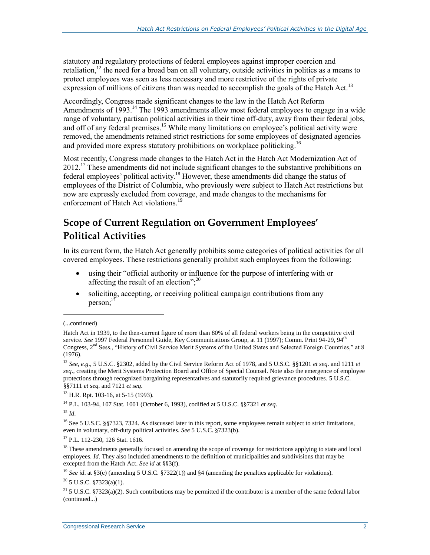statutory and regulatory protections of federal employees against improper coercion and retaliation,<sup>12</sup> the need for a broad ban on all voluntary, outside activities in politics as a means to protect employees was seen as less necessary and more restrictive of the rights of private expression of millions of citizens than was needed to accomplish the goals of the Hatch Act.<sup>13</sup>

Accordingly, Congress made significant changes to the law in the Hatch Act Reform Amendments of 1993.<sup>14</sup> The 1993 amendments allow most federal employees to engage in a wide range of voluntary, partisan political activities in their time off-duty, away from their federal jobs, and off of any federal premises.<sup>15</sup> While many limitations on employee's political activity were removed, the amendments retained strict restrictions for some employees of designated agencies and provided more express statutory prohibitions on workplace politicking.<sup>16</sup>

Most recently, Congress made changes to the Hatch Act in the Hatch Act Modernization Act of 2012.<sup>17</sup> These amendments did not include significant changes to the substantive prohibitions on federal employees' political activity.<sup>18</sup> However, these amendments did change the status of employees of the District of Columbia, who previously were subject to Hatch Act restrictions but now are expressly excluded from coverage, and made changes to the mechanisms for enforcement of Hatch Act violations.<sup>19</sup>

## **Scope of Current Regulation on Government Employees' Political Activities**

In its current form, the Hatch Act generally prohibits some categories of political activities for all covered employees. These restrictions generally prohibit such employees from the following:

- using their "official authority or influence for the purpose of interfering with or affecting the result of an election";<sup>20</sup>
- soliciting, accepting, or receiving political campaign contributions from any person; $^{21}$

l

<sup>16</sup> See 5 U.S.C. §§7323, 7324. As discussed later in this report, some employees remain subject to strict limitations, even in voluntary, off-duty political activities. *See* 5 U.S.C. §7323(b).

 $20$  5 U.S.C. §7323(a)(1).

<sup>(...</sup>continued)

Hatch Act in 1939, to the then-current figure of more than 80% of all federal workers being in the competitive civil service. *See* 1997 Federal Personnel Guide, Key Communications Group, at 11 (1997); Comm. Print 94-29, 94<sup>th</sup> Congress, 2nd Sess., "History of Civil Service Merit Systems of the United States and Selected Foreign Countries," at 8 (1976).

<sup>12</sup> *See, e.g*., 5 U.S.C. §2302, added by the Civil Service Reform Act of 1978, and 5 U.S.C. §§1201 *et seq*. and 1211 *et seq*., creating the Merit Systems Protection Board and Office of Special Counsel. Note also the emergence of employee protections through recognized bargaining representatives and statutorily required grievance procedures. 5 U.S.C. §§7111 *et seq*. and 7121 *et seq*.

<sup>&</sup>lt;sup>13</sup> H.R. Rpt. 103-16, at 5-15 (1993).

<sup>14</sup> P.L. 103-94, 107 Stat. 1001 (October 6, 1993), codified at 5 U.S.C. §§7321 *et seq*.

 $^{15}$  *Id.* 

<sup>17</sup> P.L. 112-230, 126 Stat. 1616.

<sup>&</sup>lt;sup>18</sup> These amendments generally focused on amending the scope of coverage for restrictions applying to state and local employees. *Id*. They also included amendments to the definition of municipalities and subdivisions that may be excepted from the Hatch Act. *See id* at §§3(f).

<sup>&</sup>lt;sup>19</sup> *See id.* at §3(e) (amending 5 U.S.C. §7322(1)) and §4 (amending the penalties applicable for violations).

<sup>&</sup>lt;sup>21</sup> 5 U.S.C. §7323(a)(2). Such contributions may be permitted if the contributor is a member of the same federal labor (continued...)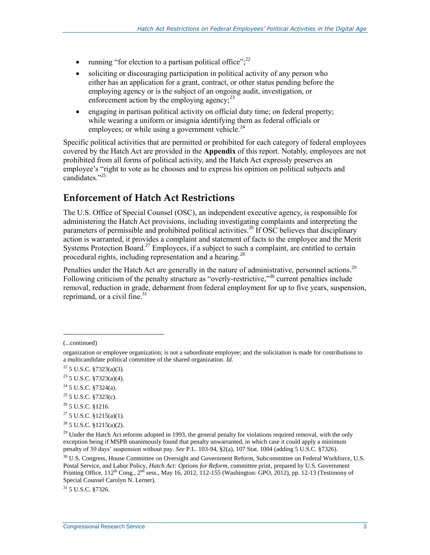- $\bullet$  running "for election to a partisan political office";<sup>22</sup>
- soliciting or discouraging participation in political activity of any person who either has an application for a grant, contract, or other status pending before the employing agency or is the subject of an ongoing audit, investigation, or enforcement action by the employing agency;<sup>23</sup>
- engaging in partisan political activity on official duty time; on federal property; while wearing a uniform or insignia identifying them as federal officials or employees; or while using a government vehicle. $^{24}$

Specific political activities that are permitted or prohibited for each category of federal employees covered by the Hatch Act are provided in the **[Appendix](#page-13-0)** of this report. Notably, employees are not prohibited from all forms of political activity, and the Hatch Act expressly preserves an employee's "right to vote as he chooses and to express his opinion on political subjects and candidates<sup>"25</sup>

### **Enforcement of Hatch Act Restrictions**

The U.S. Office of Special Counsel (OSC), an independent executive agency, is responsible for administering the Hatch Act provisions, including investigating complaints and interpreting the parameters of permissible and prohibited political activities.<sup>26</sup> If OSC believes that disciplinary action is warranted, it provides a complaint and statement of facts to the employee and the Merit Systems Protection Board.<sup>27</sup> Employees, if a subject to such a complaint, are entitled to certain procedural rights, including representation and a hearing.<sup>28</sup>

Penalties under the Hatch Act are generally in the nature of administrative, personnel actions.<sup>29</sup> Following criticism of the penalty structure as "overly-restrictive,"<sup>30</sup> current penalties include removal, reduction in grade, debarment from federal employment for up to five years, suspension, reprimand, or a civil fine. $31$ 

l

 $25$  5 U.S.C. §7323(c).

 $31$  5 U.S.C.  $$7326$ .

<sup>(...</sup>continued)

organization or employee organization; is not a subordinate employee; and the solicitation is made for contributions to a multicandidate political committee of the shared organization. *Id*.

 $22$  5 U.S.C. §7323(a)(3).

<sup>23</sup> 5 U.S.C. §7323(a)(4).

 $24$  5 U.S.C. §7324(a).

 $^{26}$  5 U.S.C. §1216.

 $27$  5 U.S.C. §1215(a)(1).

 $28$  5 U.S.C. §1215(a)(2).

<sup>&</sup>lt;sup>29</sup> Under the Hatch Act reforms adopted in 1993, the general penalty for violations required removal, with the only exception being if MSPB unanimously found that penalty unwarranted, in which case it could apply a minimum penalty of 30 days' suspension without pay. *See* P.L. 103-94, §2(a), 107 Stat. 1004 (adding 5 U.S.C. §7326).

<sup>&</sup>lt;sup>30</sup> U.S. Congress, House Committee on Oversight and Government Reform, Subcommittee on Federal Workforce, U.S. Postal Service, and Labor Policy, *Hatch Act: Options for Reform*, committee print, prepared by U.S. Government Printing Office,  $112^{\text{th}}$  Cong.,  $2^{\text{nd}}$  sess., May 16, 2012, 112-155 (Washington: GPO, 2012), pp. 12-13 (Testimony of Special Counsel Carolyn N. Lerner).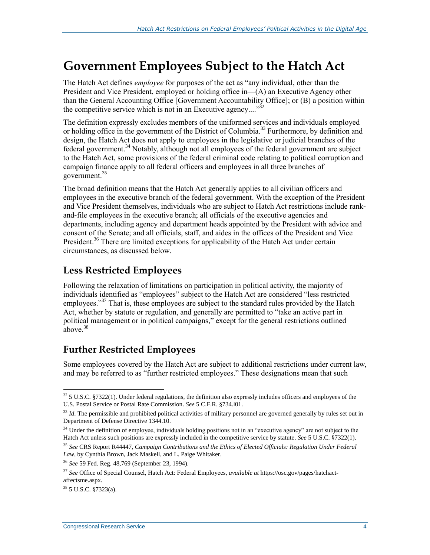## **Government Employees Subject to the Hatch Act**

The Hatch Act defines *employee* for purposes of the act as "any individual, other than the President and Vice President, employed or holding office in—(A) an Executive Agency other than the General Accounting Office [Government Accountability Office]; or (B) a position within the competitive service which is not in an Executive agency....<sup> $32$ </sup>

The definition expressly excludes members of the uniformed services and individuals employed or holding office in the government of the District of Columbia.<sup>33</sup> Furthermore, by definition and design, the Hatch Act does not apply to employees in the legislative or judicial branches of the federal government.<sup>34</sup> Notably, although not all employees of the federal government are subject to the Hatch Act, some provisions of the federal criminal code relating to political corruption and campaign finance apply to all federal officers and employees in all three branches of government.<sup>35</sup>

The broad definition means that the Hatch Act generally applies to all civilian officers and employees in the executive branch of the federal government. With the exception of the President and Vice President themselves, individuals who are subject to Hatch Act restrictions include rankand-file employees in the executive branch; all officials of the executive agencies and departments, including agency and department heads appointed by the President with advice and consent of the Senate; and all officials, staff, and aides in the offices of the President and Vice President.<sup>36</sup> There are limited exceptions for applicability of the Hatch Act under certain circumstances, as discussed below.

### **Less Restricted Employees**

Following the relaxation of limitations on participation in political activity, the majority of individuals identified as "employees" subject to the Hatch Act are considered "less restricted employees."<sup>37</sup> That is, these employees are subject to the standard rules provided by the Hatch Act, whether by statute or regulation, and generally are permitted to "take an active part in political management or in political campaigns," except for the general restrictions outlined above. 38

### **Further Restricted Employees**

Some employees covered by the Hatch Act are subject to additional restrictions under current law, and may be referred to as "further restricted employees." These designations mean that such

 $32$  5 U.S.C. §7322(1). Under federal regulations, the definition also expressly includes officers and employees of the U.S. Postal Service or Postal Rate Commission. *See* 5 C.F.R. §734.l01.

<sup>&</sup>lt;sup>33</sup> *Id*. The permissible and prohibited political activities of military personnel are governed generally by rules set out in Department of Defense Directive 1344.10.

 $34$  Under the definition of employee, individuals holding positions not in an "executive agency" are not subject to the Hatch Act unless such positions are expressly included in the competitive service by statute. *See* 5 U.S.C. §7322(1). <sup>35</sup> *See* CRS Report R44447, *Campaign Contributions and the Ethics of Elected Officials: Regulation Under Federal Law*, by Cynthia Brown, Jack Maskell, and L. Paige Whitaker.

<sup>36</sup> *See* 59 Fed. Reg. 48,769 (September 23, 1994).

<sup>37</sup> *See* Office of Special Counsel, Hatch Act: Federal Employees, *available at* https://osc.gov/pages/hatchactaffectsme.aspx.

<sup>38</sup> 5 U.S.C. §7323(a).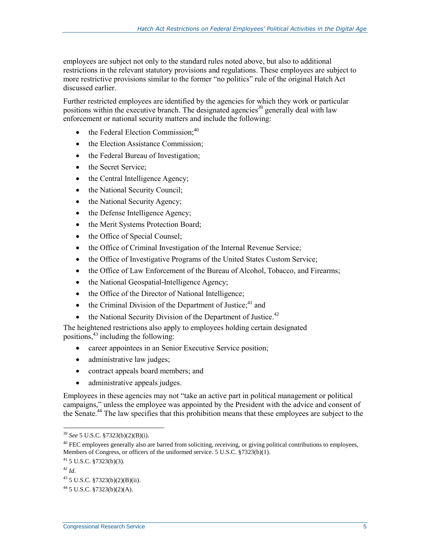employees are subject not only to the standard rules noted above, but also to additional restrictions in the relevant statutory provisions and regulations. These employees are subject to more restrictive provisions similar to the former "no politics" rule of the original Hatch Act discussed earlier.

Further restricted employees are identified by the agencies for which they work or particular positions within the executive branch. The designated agencies<sup>39</sup> generally deal with law enforcement or national security matters and include the following:

- $\bullet$  the Federal Election Commission;<sup>40</sup>
- the Election Assistance Commission;
- the Federal Bureau of Investigation;
- the Secret Service;
- the Central Intelligence Agency;
- the National Security Council;
- the National Security Agency;
- the Defense Intelligence Agency;
- the Merit Systems Protection Board;
- the Office of Special Counsel;
- the Office of Criminal Investigation of the Internal Revenue Service;
- the Office of Investigative Programs of the United States Custom Service;
- the Office of Law Enforcement of the Bureau of Alcohol, Tobacco, and Firearms;
- the National Geospatial-Intelligence Agency;
- the Office of the Director of National Intelligence;
- $\bullet$  the Criminal Division of the Department of Justice;<sup>41</sup> and
- $\bullet$  the National Security Division of the Department of Justice.<sup>42</sup>

The heightened restrictions also apply to employees holding certain designated positions,  $43$  including the following:

- career appointees in an Senior Executive Service position;
- administrative law judges;
- contract appeals board members; and
- administrative appeals judges.

Employees in these agencies may not "take an active part in political management or political campaigns," unless the employee was appointed by the President with the advice and consent of the Senate.<sup>44</sup> The law specifies that this prohibition means that these employees are subject to the

<sup>39</sup> *See* 5 U.S.C. §7323(b)(2)(B)(i).

 $^{40}$  FEC employees generally also are barred from soliciting, receiving, or giving political contributions to employees, Members of Congress, or officers of the uniformed service. 5 U.S.C. §7323(b)(1).

 $41\,$  5 U.S.C. §7323(b)(3).

<sup>42</sup> *Id*.

<sup>43</sup> 5 U.S.C. §7323(b)(2)(B)(ii).

 $44$  5 U.S.C. §7323(b)(2)(A).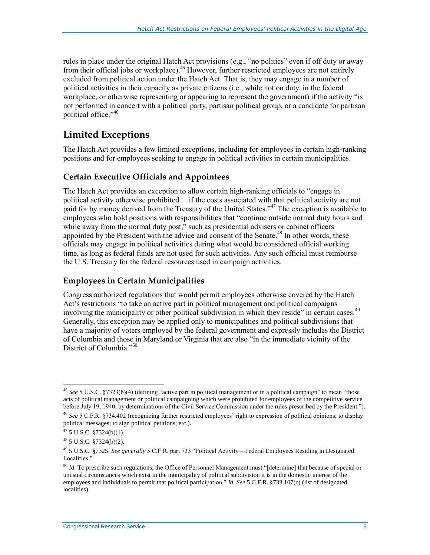rules in place under the original Hatch Act provisions (e.g., "no politics" even if off duty or away from their official jobs or workplace).<sup>45</sup> However, further restricted employees are not entirely excluded from political action under the Hatch Act. That is, they may engage in a number of political activities in their capacity as private citizens (i.e., while not on duty, in the federal workplace, or otherwise representing or appearing to represent the government) if the activity "is not performed in concert with a political party, partisan political group, or a candidate for partisan political office."<sup>46</sup>

## **Limited Exceptions**

The Hatch Act provides a few limited exceptions, including for employees in certain high-ranking positions and for employees seeking to engage in political activities in certain municipalities.

#### **Certain Executive Officials and Appointees**

The Hatch Act provides an exception to allow certain high-ranking officials to "engage in political activity otherwise prohibited ... if the costs associated with that political activity are not paid for by money derived from the Treasury of the United States."<sup>47</sup> The exception is available to employees who hold positions with responsibilities that "continue outside normal duty hours and while away from the normal duty post," such as presidential advisers or cabinet officers appointed by the President with the advice and consent of the Senate.<sup>48</sup> In other words, these officials may engage in political activities during what would be considered official working time, as long as federal funds are not used for such activities. Any such official must reimburse the U.S. Treasury for the federal resources used in campaign activities.

#### **Employees in Certain Municipalities**

Congress authorized regulations that would permit employees otherwise covered by the Hatch Act's restrictions "to take an active part in political management and political campaigns involving the municipality or other political subdivision in which they reside" in certain cases.<sup>49</sup> Generally, this exception may be applied only to municipalities and political subdivisions that have a majority of voters employed by the federal government and expressly includes the District of Columbia and those in Maryland or Virginia that are also "in the immediate vicinity of the District of Columbia."<sup>50</sup>

<sup>&</sup>lt;sup>45</sup> See 5 U.S.C. §7323(b)(4) (defining "active part in political management or in a political campaign" to mean "those acts of political management or political campaigning which were prohibited for employees of the competitive service before July 19, 1940, by determinations of the Civil Service Commission under the rules prescribed by the President.").

<sup>46</sup> *See* 5 C.F.R. §734.402 (recognizing further restricted employees' right to expression of political opinions; to display political messages; to sign political petitions; etc.).

 $47$  5 U.S.C. §7324(b)(1).

 $48$  5 U.S.C. §7324(b)(2).

<sup>49</sup> 5 U.S.C. §7325. *See generally* 5 C.F.R. part 733 "Political Activity—Federal Employees Residing in Designated Localities."

<sup>&</sup>lt;sup>50</sup> *Id*. To prescribe such regulations, the Office of Personnel Management must "[determine] that because of special or unusual circumstances which exist in the municipality of political subdivision it is in the domestic interest of the employees and individuals to permit that political participation." *Id. See* 5 C.F.R. §733.107(c) (list of designated localities).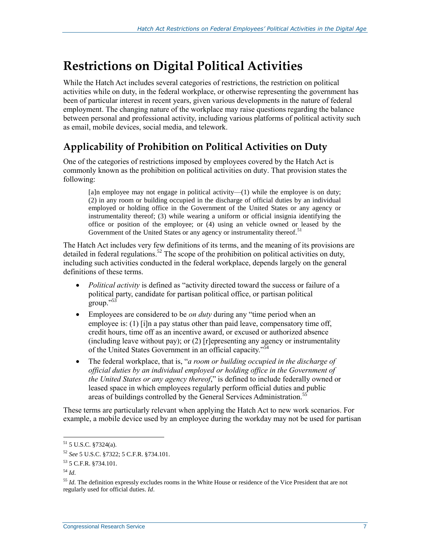## **Restrictions on Digital Political Activities**

While the Hatch Act includes several categories of restrictions, the restriction on political activities while on duty, in the federal workplace, or otherwise representing the government has been of particular interest in recent years, given various developments in the nature of federal employment. The changing nature of the workplace may raise questions regarding the balance between personal and professional activity, including various platforms of political activity such as email, mobile devices, social media, and telework.

## **Applicability of Prohibition on Political Activities on Duty**

One of the categories of restrictions imposed by employees covered by the Hatch Act is commonly known as the prohibition on political activities on duty. That provision states the following:

 $[a]$ n employee may not engage in political activity— $(1)$  while the employee is on duty; (2) in any room or building occupied in the discharge of official duties by an individual employed or holding office in the Government of the United States or any agency or instrumentality thereof; (3) while wearing a uniform or official insignia identifying the office or position of the employee; or (4) using an vehicle owned or leased by the Government of the United States or any agency or instrumentality thereof.<sup>51</sup>

The Hatch Act includes very few definitions of its terms, and the meaning of its provisions are detailed in federal regulations.<sup>52</sup> The scope of the prohibition on political activities on duty, including such activities conducted in the federal workplace, depends largely on the general definitions of these terms.

- *Political activity* is defined as "activity directed toward the success or failure of a political party, candidate for partisan political office, or partisan political group." $53$
- Employees are considered to be *on duty* during any "time period when an employee is: (1) [i]n a pay status other than paid leave, compensatory time off, credit hours, time off as an incentive award, or excused or authorized absence (including leave without pay); or (2) [r]epresenting any agency or instrumentality of the United States Government in an official capacity."<sup>54</sup>
- The federal workplace, that is, "*a room or building occupied in the discharge of official duties by an individual employed or holding office in the Government of the United States or any agency thereof*," is defined to include federally owned or leased space in which employees regularly perform official duties and public areas of buildings controlled by the General Services Administration.<sup>55</sup>

These terms are particularly relevant when applying the Hatch Act to new work scenarios. For example, a mobile device used by an employee during the workday may not be used for partisan

 $51$  5 U.S.C. §7324(a).

<sup>52</sup> *See* 5 U.S.C. §7322; 5 C.F.R. §734.101.

<sup>53</sup> 5 C.F.R. §734.101.

<sup>54</sup> *Id*.

<sup>55</sup> *Id*. The definition expressly excludes rooms in the White House or residence of the Vice President that are not regularly used for official duties. *Id*.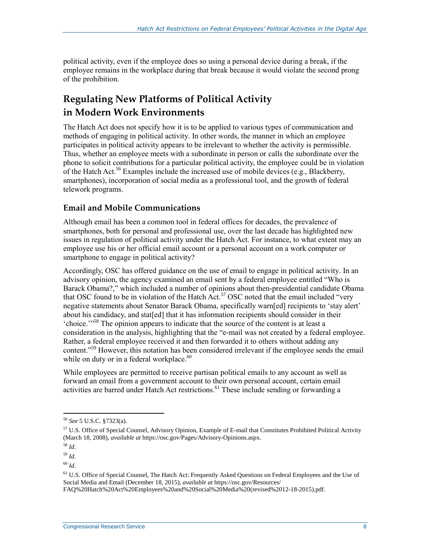political activity, even if the employee does so using a personal device during a break, if the employee remains in the workplace during that break because it would violate the second prong of the prohibition.

## **Regulating New Platforms of Political Activity in Modern Work Environments**

The Hatch Act does not specify how it is to be applied to various types of communication and methods of engaging in political activity. In other words, the manner in which an employee participates in political activity appears to be irrelevant to whether the activity is permissible. Thus, whether an employee meets with a subordinate in person or calls the subordinate over the phone to solicit contributions for a particular political activity, the employee could be in violation of the Hatch Act.<sup>56</sup> Examples include the increased use of mobile devices (e.g., Blackberry, smartphones), incorporation of social media as a professional tool, and the growth of federal telework programs.

### **Email and Mobile Communications**

Although email has been a common tool in federal offices for decades, the prevalence of smartphones, both for personal and professional use, over the last decade has highlighted new issues in regulation of political activity under the Hatch Act. For instance, to what extent may an employee use his or her official email account or a personal account on a work computer or smartphone to engage in political activity?

Accordingly, OSC has offered guidance on the use of email to engage in political activity. In an advisory opinion, the agency examined an email sent by a federal employee entitled "Who is Barack Obama?," which included a number of opinions about then-presidential candidate Obama that OSC found to be in violation of the Hatch  $\text{Act.}^{57}$  OSC noted that the email included "very negative statements about Senator Barack Obama, specifically warn[ed] recipients to 'stay alert' about his candidacy, and stat[ed] that it has information recipients should consider in their 'choice.'"<sup>58</sup> The opinion appears to indicate that the source of the content is at least a consideration in the analysis, highlighting that the "e-mail was not created by a federal employee. Rather, a federal employee received it and then forwarded it to others without adding any content.<sup>59</sup> However, this notation has been considered irrelevant if the employee sends the email while on duty or in a federal workplace. $60$ 

While employees are permitted to receive partisan political emails to any account as well as forward an email from a government account to their own personal account, certain email activities are barred under Hatch Act restrictions.<sup>61</sup> These include sending or forwarding a

<sup>56</sup> *See* 5 U.S.C. §7323(a).

 $57$  U.S. Office of Special Counsel, Advisory Opinion, Example of E-mail that Constitutes Prohibited Political Activity (March 18, 2008), *available at* https://osc.gov/Pages/Advisory-Opinions.aspx.

<sup>58</sup> *Id*.

<sup>59</sup> *Id*.

<sup>60</sup> *Id*.

<sup>&</sup>lt;sup>61</sup> U.S. Office of Special Counsel, The Hatch Act: Frequently Asked Questions on Federal Employees and the Use of Social Media and Email (December 18, 2015), *available at* https://osc.gov/Resources/ FAQ%20Hatch%20Act%20Employees%20and%20Social%20Media%20(revised%2012-18-2015).pdf.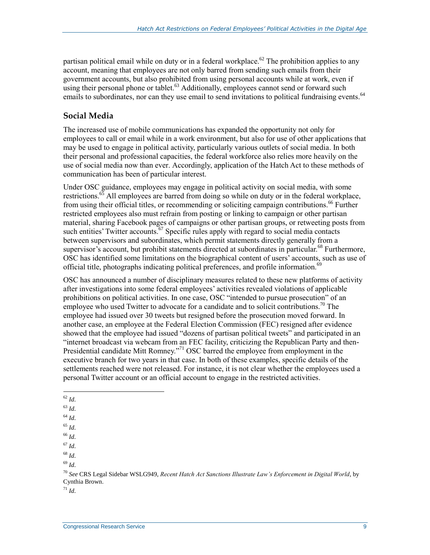partisan political email while on duty or in a federal workplace.<sup>62</sup> The prohibition applies to any account, meaning that employees are not only barred from sending such emails from their government accounts, but also prohibited from using personal accounts while at work, even if using their personal phone or tablet.<sup>63</sup> Additionally, employees cannot send or forward such emails to subordinates, nor can they use email to send invitations to political fundraising events.<sup>64</sup>

#### **Social Media**

The increased use of mobile communications has expanded the opportunity not only for employees to call or email while in a work environment, but also for use of other applications that may be used to engage in political activity, particularly various outlets of social media. In both their personal and professional capacities, the federal workforce also relies more heavily on the use of social media now than ever. Accordingly, application of the Hatch Act to these methods of communication has been of particular interest.

Under OSC guidance, employees may engage in political activity on social media, with some restrictions.<sup>65</sup> All employees are barred from doing so while on duty or in the federal workplace, from using their official titles, or recommending or soliciting campaign contributions.<sup>66</sup> Further restricted employees also must refrain from posting or linking to campaign or other partisan material, sharing Facebook pages of campaigns or other partisan groups, or retweeting posts from such entities' Twitter accounts.<sup>67</sup> Specific rules apply with regard to social media contacts between supervisors and subordinates, which permit statements directly generally from a supervisor's account, but prohibit statements directed at subordinates in particular.<sup>68</sup> Furthermore, OSC has identified some limitations on the biographical content of users' accounts, such as use of official title, photographs indicating political preferences, and profile information.<sup>6</sup>

OSC has announced a number of disciplinary measures related to these new platforms of activity after investigations into some federal employees' activities revealed violations of applicable prohibitions on political activities. In one case, OSC "intended to pursue prosecution" of an employee who used Twitter to advocate for a candidate and to solicit contributions.<sup>70</sup> The employee had issued over 30 tweets but resigned before the prosecution moved forward. In another case, an employee at the Federal Election Commission (FEC) resigned after evidence showed that the employee had issued "dozens of partisan political tweets" and participated in an "internet broadcast via webcam from an FEC facility, criticizing the Republican Party and then-Presidential candidate Mitt Romney."<sup>71</sup> OSC barred the employee from employment in the executive branch for two years in that case. In both of these examples, specific details of the settlements reached were not released. For instance, it is not clear whether the employees used a personal Twitter account or an official account to engage in the restricted activities.

- $\overline{a}$ <sup>62</sup> *Id*.
- <sup>63</sup> *Id*.
- <sup>64</sup> *Id*.
- <sup>65</sup> *Id*.
- <sup>66</sup> *Id*.
- $^{67}$  *Id.*
- <sup>68</sup> *Id*.
- <sup>69</sup> *Id*.

<sup>70</sup> *See* CRS Legal Sidebar WSLG949, *Recent Hatch Act Sanctions Illustrate Law's Enforcement in Digital World*, by Cynthia Brown.

 $71$  *Id.*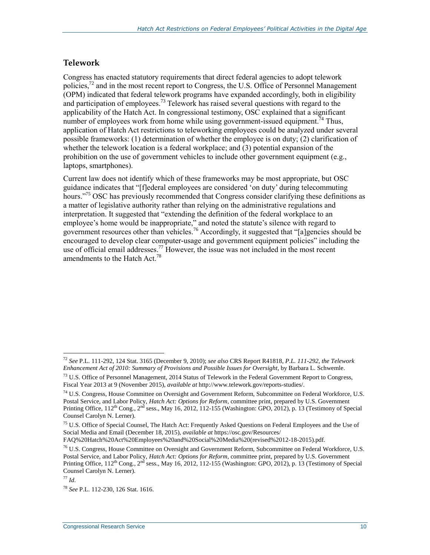#### **Telework**

Congress has enacted statutory requirements that direct federal agencies to adopt telework policies, $^{72}$  and in the most recent report to Congress, the U.S. Office of Personnel Management (OPM) indicated that federal telework programs have expanded accordingly, both in eligibility and participation of employees.<sup>73</sup> Telework has raised several questions with regard to the applicability of the Hatch Act. In congressional testimony, OSC explained that a significant number of employees work from home while using government-issued equipment.<sup>74</sup> Thus, application of Hatch Act restrictions to teleworking employees could be analyzed under several possible frameworks: (1) determination of whether the employee is on duty; (2) clarification of whether the telework location is a federal workplace; and (3) potential expansion of the prohibition on the use of government vehicles to include other government equipment (e.g., laptops, smartphones).

Current law does not identify which of these frameworks may be most appropriate, but OSC guidance indicates that "[f]ederal employees are considered 'on duty' during telecommuting hours."<sup>75</sup> OSC has previously recommended that Congress consider clarifying these definitions as a matter of legislative authority rather than relying on the administrative regulations and interpretation. It suggested that "extending the definition of the federal workplace to an employee's home would be inappropriate," and noted the statute's silence with regard to government resources other than vehicles.<sup>76</sup> Accordingly, it suggested that "[a]gencies should be encouraged to develop clear computer-usage and government equipment policies" including the use of official email addresses.<sup>77</sup> However, the issue was not included in the most recent amendments to the Hatch Act.<sup>78</sup>

<sup>72</sup> *See* P.L. 111-292, 124 Stat. 3165 (December 9, 2010); *see also* CRS Report R41818, *P.L. 111-292, the Telework Enhancement Act of 2010: Summary of Provisions and Possible Issues for Oversight*, by Barbara L. Schwemle.

<sup>73</sup> U.S. Office of Personnel Management, 2014 Status of Telework in the Federal Government Report to Congress, Fiscal Year 2013 at 9 (November 2015), *available at* http://www.telework.gov/reports-studies/.

<sup>74</sup> U.S. Congress, House Committee on Oversight and Government Reform, Subcommittee on Federal Workforce, U.S. Postal Service, and Labor Policy, *Hatch Act: Options for Reform*, committee print, prepared by U.S. Government Printing Office,  $112^{\text{th}}$  Cong.,  $2^{\text{nd}}$  sess., May 16, 2012, 112-155 (Washington: GPO, 2012), p. 13 (Testimony of Special Counsel Carolyn N. Lerner).

<sup>&</sup>lt;sup>75</sup> U.S. Office of Special Counsel, The Hatch Act: Frequently Asked Questions on Federal Employees and the Use of Social Media and Email (December 18, 2015), *available at* https://osc.gov/Resources/

FAQ%20Hatch%20Act%20Employees%20and%20Social%20Media%20(revised%2012-18-2015).pdf.

<sup>76</sup> U.S. Congress, House Committee on Oversight and Government Reform, Subcommittee on Federal Workforce, U.S. Postal Service, and Labor Policy, *Hatch Act: Options for Reform*, committee print, prepared by U.S. Government Printing Office,  $112^{\text{th}}$  Cong.,  $2^{\text{nd}}$  sess., May 16, 2012, 112-155 (Washington: GPO, 2012), p. 13 (Testimony of Special Counsel Carolyn N. Lerner).

<sup>77</sup> *Id*.

<sup>78</sup> *See* P.L. 112-230, 126 Stat. 1616.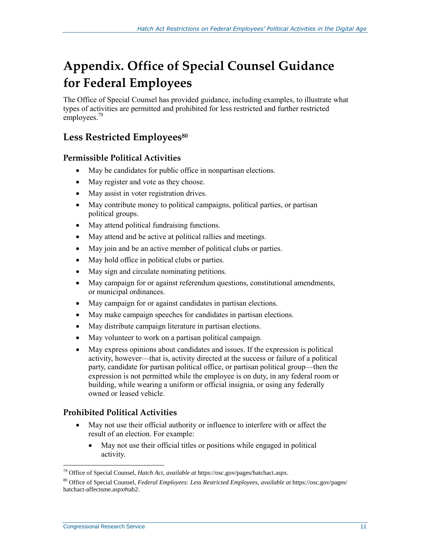## <span id="page-13-0"></span>**Appendix. Office of Special Counsel Guidance for Federal Employees**

The Office of Special Counsel has provided guidance, including examples, to illustrate what types of activities are permitted and prohibited for less restricted and further restricted employees.<sup>79</sup>

### **Less Restricted Employees<sup>80</sup>**

#### **Permissible Political Activities**

- May be candidates for public office in nonpartisan elections.
- May register and vote as they choose.
- May assist in voter registration drives.
- May contribute money to political campaigns, political parties, or partisan political groups.
- May attend political fundraising functions.
- May attend and be active at political rallies and meetings.
- May join and be an active member of political clubs or parties.
- May hold office in political clubs or parties.
- May sign and circulate nominating petitions.
- May campaign for or against referendum questions, constitutional amendments, or municipal ordinances.
- May campaign for or against candidates in partisan elections.
- May make campaign speeches for candidates in partisan elections.
- May distribute campaign literature in partisan elections.
- May volunteer to work on a partisan political campaign.
- May express opinions about candidates and issues. If the expression is political activity, however—that is, activity directed at the success or failure of a political party, candidate for partisan political office, or partisan political group—then the expression is not permitted while the employee is on duty, in any federal room or building, while wearing a uniform or official insignia, or using any federally owned or leased vehicle.

#### **Prohibited Political Activities**

- May not use their official authority or influence to interfere with or affect the result of an election. For example:
	- May not use their official titles or positions while engaged in political activity.

<sup>79</sup> Office of Special Counsel, *Hatch Act*, *available at* https://osc.gov/pages/hatchact.aspx.

<sup>80</sup> Office of Special Counsel, *Federal Employees: Less Restricted Employees*, *available at* https://osc.gov/pages/ hatchact-affectsme.aspx#tab2.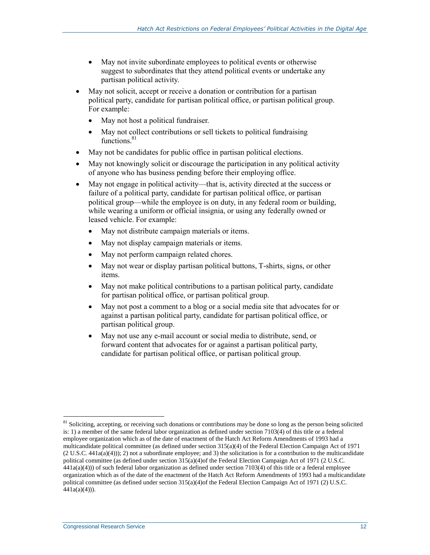- May not invite subordinate employees to political events or otherwise suggest to subordinates that they attend political events or undertake any partisan political activity.
- May not solicit, accept or receive a donation or contribution for a partisan political party, candidate for partisan political office, or partisan political group. For example:
	- May not host a political fundraiser.
	- May not collect contributions or sell tickets to political fundraising functions.<sup>81</sup>
- May not be candidates for public office in partisan political elections.
- May not knowingly solicit or discourage the participation in any political activity of anyone who has business pending before their employing office.
- May not engage in political activity—that is, activity directed at the success or failure of a political party, candidate for partisan political office, or partisan political group—while the employee is on duty, in any federal room or building, while wearing a uniform or official insignia, or using any federally owned or leased vehicle. For example:
	- May not distribute campaign materials or items.
	- May not display campaign materials or items.
	- May not perform campaign related chores.
	- May not wear or display partisan political buttons, T-shirts, signs, or other items.
	- May not make political contributions to a partisan political party, candidate for partisan political office, or partisan political group.
	- May not post a comment to a blog or a social media site that advocates for or against a partisan political party, candidate for partisan political office, or partisan political group.
	- May not use any e-mail account or social media to distribute, send, or forward content that advocates for or against a partisan political party, candidate for partisan political office, or partisan political group.

<sup>&</sup>lt;sup>81</sup> Soliciting, accepting, or receiving such donations or contributions may be done so long as the person being solicited is: 1) a member of the same federal labor organization as defined under section 7103(4) of this title or a federal employee organization which as of the date of enactment of the Hatch Act Reform Amendments of 1993 had a multicandidate political committee (as defined under section 315(a)(4) of the Federal Election Campaign Act of 1971  $(2 U.S.C. 441a(a)(4)))$ ; 2) not a subordinate employee; and 3) the solicitation is for a contribution to the multicandidate political committee (as defined under section 315(a)(4)of the Federal Election Campaign Act of 1971 (2 U.S.C.  $441a(a)(4)$ ) of such federal labor organization as defined under section 7103(4) of this title or a federal employee organization which as of the date of the enactment of the Hatch Act Reform Amendments of 1993 had a multicandidate political committee (as defined under section 315(a)(4)of the Federal Election Campaign Act of 1971 (2) U.S.C.  $441a(a)(4))$ ).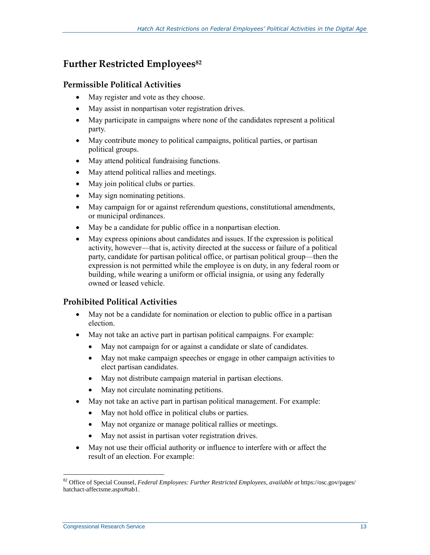### **Further Restricted Employees<sup>82</sup>**

#### **Permissible Political Activities**

- May register and vote as they choose.
- May assist in nonpartisan voter registration drives.
- May participate in campaigns where none of the candidates represent a political party.
- May contribute money to political campaigns, political parties, or partisan political groups.
- May attend political fundraising functions.
- May attend political rallies and meetings.
- May join political clubs or parties.
- May sign nominating petitions.
- May campaign for or against referendum questions, constitutional amendments, or municipal ordinances.
- May be a candidate for public office in a nonpartisan election.
- May express opinions about candidates and issues. If the expression is political activity, however—that is, activity directed at the success or failure of a political party, candidate for partisan political office, or partisan political group—then the expression is not permitted while the employee is on duty, in any federal room or building, while wearing a uniform or official insignia, or using any federally owned or leased vehicle.

### **Prohibited Political Activities**

- May not be a candidate for nomination or election to public office in a partisan election.
- May not take an active part in partisan political campaigns. For example:
	- May not campaign for or against a candidate or slate of candidates.
	- May not make campaign speeches or engage in other campaign activities to elect partisan candidates.
	- May not distribute campaign material in partisan elections.
	- May not circulate nominating petitions.
- May not take an active part in partisan political management. For example:
	- May not hold office in political clubs or parties.
	- May not organize or manage political rallies or meetings.
	- May not assist in partisan voter registration drives.
- May not use their official authority or influence to interfere with or affect the result of an election. For example:

<sup>82</sup> Office of Special Counsel, *Federal Employees: Further Restricted Employees*, *available at* https://osc.gov/pages/ hatchact-affectsme.aspx#tab1.